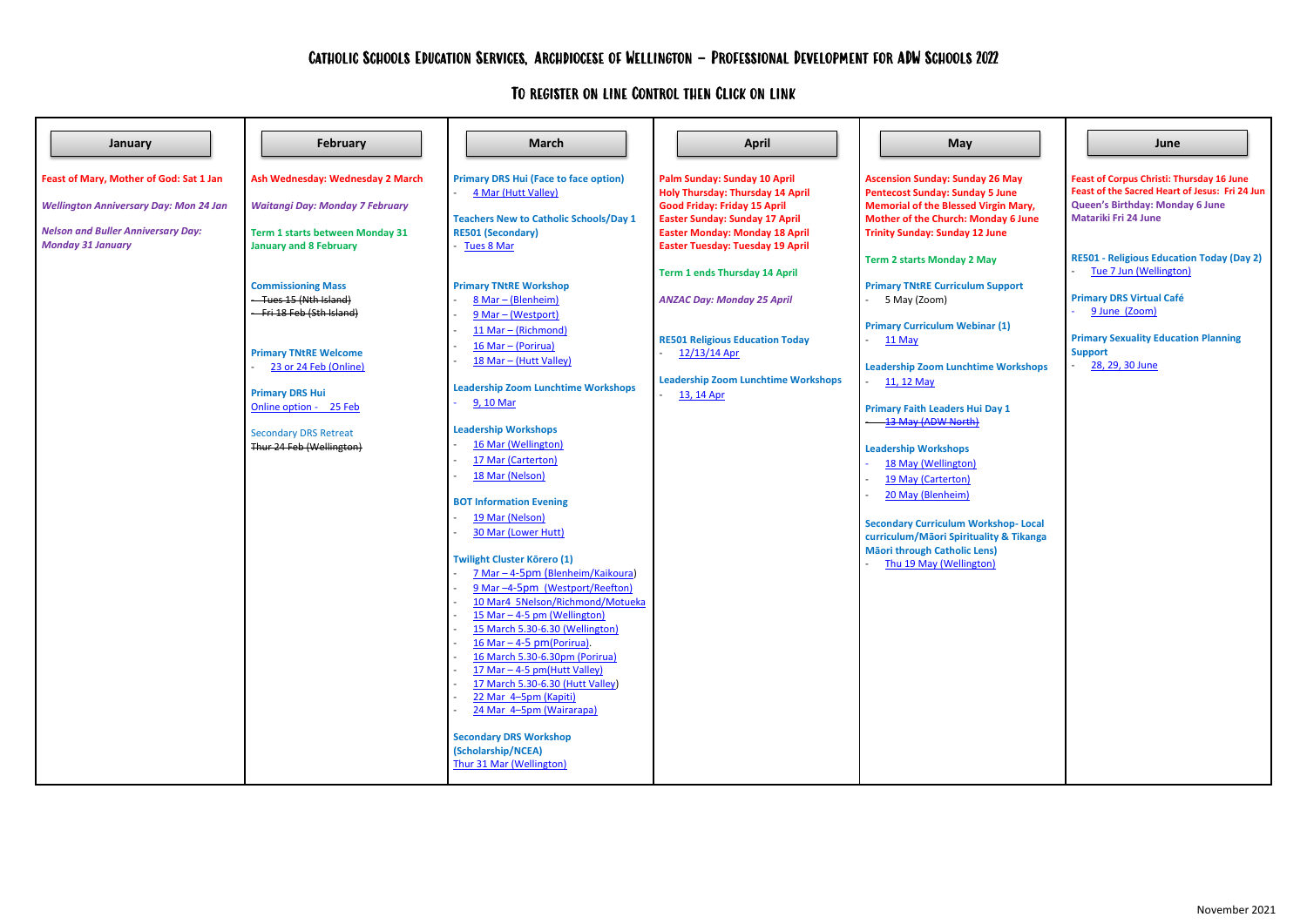**Feast of Mary, Mother of God: Sat 1 Jan** *Wellington Anniversary Day: Mon 24 Jan Nelson and Buller Anniversary Day: Monday 31 January* **Ash Wednesday: Wednesday 2 March** *Waitangi Day: Monday 7 February* **Term 1 starts between Monday 31 January and 8 February Commissioning Mass** - Tues 15 (Nth Island) - Fri 18 Feb (Sth Island) **Primary TNtRE Welcome** [23 or 24 Feb](https://forms.gle/SgCoQZZMw4RhcaV99) (Online) **Primary DRS Hui** [Online option -](https://forms.gle/zjj9ERrgWi8kM1LX9) 25 Feb Secondary DRS Retreat Thur 24 Feb (Wellington) **Primary DRS Hui (Face to face option)** 4 Mar [\(Hutt Valley\)](https://forms.gle/zjj9ERrgWi8kM1LX9) **Teachers New to Catholic Schools/Day 1 RE501 (Secondary)** - [Tues 8 Mar](https://forms.gle/rPUtrS3YFhXp1Z959) **Primary TNtRE Workshop** 8 Mar – [\(Blenheim\)](https://forms.gle/SgCoQZZMw4RhcaV99) 9 Mar – [\(Westport\)](https://forms.gle/SgCoQZZMw4RhcaV99) 11 Mar – [\(Richmond\)](https://forms.gle/SgCoQZZMw4RhcaV99) 16 Mar – [\(Porirua\)](https://forms.gle/SgCoQZZMw4RhcaV99) 18 Mar – [\(Hutt Valley\)](https://forms.gle/rnWWC66VUV68c4TDA) **Leadership Zoom Lunchtime Workshops** - [9, 10 Mar](https://forms.gle/pRhXdeAuCK7eVvM1A) **Leadership Workshops** [16 Mar \(Wellington\)](https://forms.gle/cEb1ryrNja9r6hRc8) [17 Mar \(Carterton\)](https://forms.gle/haom2jCqSXa1kC1XA) [18 Mar \(Nelson\)](https://forms.gle/LTJXHq71pYpPkAmE7) **BOT Information Evening** 19 [Mar \(Nelson\)](https://docs.google.com/forms/d/e/1FAIpQLSdp7dYF0xanijManBRS_xrkLarzvjcm12f0E_PxOcSXRZM2iQ/viewform?usp=sf_link) - [30 Mar \(Lower Hutt\)](https://forms.gle/iTJLLAtWkmEE3QVo7) **Twilight Cluster Kōrero (1)** - 7 Mar – 4-5pm ([Blenheim/Kaikoura\)](https://forms.gle/Unmb89tJSN2HA2ra6) 9 Mar -4-5pm [\(Westport/Reefton\)](https://forms.gle/4MDn1Nh7TQ5UwehF6) 10 Mar4 [5Nelson/Richmond/Motueka](https://forms.gle/98r9X4d1b3Wteq3u5) 15 Mar – [4-5 pm \(Wellington\)](https://forms.gle/BjwvoBWihKeoJX3w7) [15 March 5.30-6.30](https://forms.gle/bLaang7JXspeeBdC7) (Wellington)  $16$  Mar – 4-5 pm[\(Porirua\).](https://forms.gle/htwR4zc4gnrijRZ89) - [16 March 5.30-6.30pm \(Porirua\)](https://forms.gle/D9UWKb2bWnxvsExYA)  $17$  Mar – [4-5 pm\(Hutt Valley\)](https://forms.gle/HivTyjKFuX5vxGuv7) [17 March 5.30-6.30 \(Hutt Valley\)](https://forms.gle/EXJ1kqrhgB739Npn6) [22 Mar 4](https://forms.gle/VJJWdS7SmUVoAWs66)-5pm (Kapiti) 24 Mar 4-5pm [\(Wairarapa\)](https://forms.gle/6Vqj1nL7GYXB3CZz6) **Secondary DRS Workshop (Scholarship/NCEA)** [Thur 31 Mar \(Wellington\)](https://forms.gle/UmJnHbCGzboKA4cc8) **Palm Sunday: Sunday 10 April Holy Thursday: Thursday 14 April Good Friday: Friday 15 April Easter Sunday: Sunday 17 April Easter Monday: Monday 18 April Easter Tuesday: Tuesday 19 April Term 1 ends Thursday 14 April** *ANZAC Day: Monday 25 April* **RE501 Religious Education Today** [12/13/14 Apr](https://forms.gle/GssQTBB8rjm23KhU6) **Leadership Zoom Lunchtime Workshops** [13, 14 Apr](https://forms.gle/AMysMZSpYdGRnCN48) **Ascension Sunday: Sunday Pentecost Sunday: Sunday Memorial of the Blessed V Mother of the Church: Mor Trinity Sunday: Sunday 12 Term 2 starts Monday 2 May Primary TNtRE Curriculum** - 5 May (Zoom) **Primary Curriculum Webina** - [11 May](https://forms.gle/hcW7MFy3iscXDnTQA) **Leadership Zoom Lunchtim** [11, 12 May](https://forms.gle/LdcWr57Bp7g7joxK6) **Primary Faith Leaders Hui I** - [13 May \(ADW North\)](https://forms.gle/uhatzBSfSqcfrejL9) **Leadership Workshops** 18 May [\(Wellington\)](https://forms.gle/UH8h52a4Qonbw8ev6) 19 May [\(Carterton\)](https://forms.gle/yvJ6JnjQmDBy6uqRA) 20 May (Blenheim) **Secondary Curriculum Work curriculum/Māori Spiritual M**ã**ori through Catholic Len** Thu 19 May (Wellington January | | | February | | | March | | | April | | May | | | June

## To register on line Control then Click on link

|                                                        | June                                                                                                                                                                 |
|--------------------------------------------------------|----------------------------------------------------------------------------------------------------------------------------------------------------------------------|
| 26 May<br>5 June<br>irgin Mary,<br>nday 6 June<br>June | <b>Feast of Corpus Christi: Thursday 16 June</b><br>Feast of the Sacred Heart of Jesus: Fri 24 Jun<br>Queen's Birthday: Monday 6 June<br><b>Matariki Fri 24 June</b> |
| ay                                                     | <b>RE501 - Religious Education Today (Day 2)</b><br>Tue 7 Jun (Wellington)                                                                                           |
| <b>Support</b>                                         | <b>Primary DRS Virtual Café</b><br>9 June (Zoom)                                                                                                                     |
| ar (1)                                                 | <b>Primary Sexuality Education Planning</b><br><b>Support</b>                                                                                                        |
| e Workshops                                            | 28, 29, 30 June                                                                                                                                                      |
| Day 1                                                  |                                                                                                                                                                      |
| kshop-Local<br>lity & Tikanga<br>าร)<br><u>n)</u>      |                                                                                                                                                                      |
|                                                        |                                                                                                                                                                      |